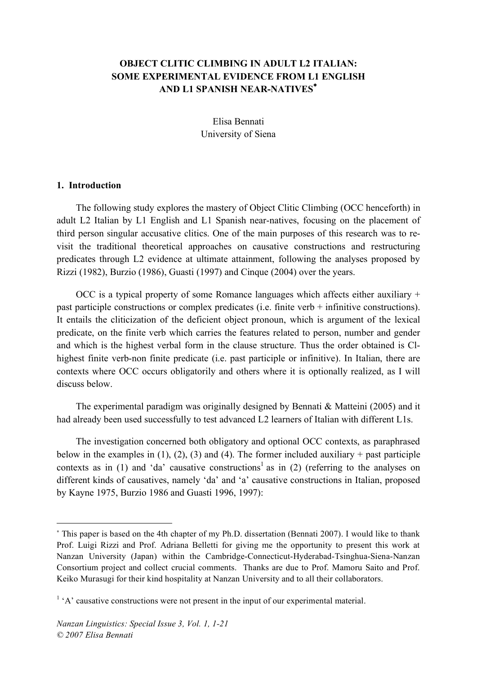# **OBJECT CLITIC CLIMBING IN ADULT L2 ITALIAN: SOME EXPERIMENTAL EVIDENCE FROM L1 ENGLISH AND L1 SPANISH NEAR-NATIVES**<sup>∗</sup>

Elisa Bennati University of Siena

#### **1. Introduction**

 $\overline{a}$ 

The following study explores the mastery of Object Clitic Climbing (OCC henceforth) in adult L2 Italian by L1 English and L1 Spanish near-natives, focusing on the placement of third person singular accusative clitics. One of the main purposes of this research was to revisit the traditional theoretical approaches on causative constructions and restructuring predicates through L2 evidence at ultimate attainment, following the analyses proposed by Rizzi (1982), Burzio (1986), Guasti (1997) and Cinque (2004) over the years.

OCC is a typical property of some Romance languages which affects either auxiliary + past participle constructions or complex predicates (i.e. finite verb + infinitive constructions). It entails the cliticization of the deficient object pronoun, which is argument of the lexical predicate, on the finite verb which carries the features related to person, number and gender and which is the highest verbal form in the clause structure. Thus the order obtained is Clhighest finite verb-non finite predicate (i.e. past participle or infinitive). In Italian, there are contexts where OCC occurs obligatorily and others where it is optionally realized, as I will discuss below.

The experimental paradigm was originally designed by Bennati & Matteini (2005) and it had already been used successfully to test advanced L2 learners of Italian with different L1s.

The investigation concerned both obligatory and optional OCC contexts, as paraphrased below in the examples in (1), (2), (3) and (4). The former included auxiliary + past participle contexts as in (1) and 'da' causative constructions<sup>1</sup> as in (2) (referring to the analyses on different kinds of causatives, namely 'da' and 'a' causative constructions in Italian, proposed by Kayne 1975, Burzio 1986 and Guasti 1996, 1997):

<sup>∗</sup> This paper is based on the 4th chapter of my Ph.D. dissertation (Bennati 2007). I would like to thank Prof. Luigi Rizzi and Prof. Adriana Belletti for giving me the opportunity to present this work at Nanzan University (Japan) within the Cambridge-Connecticut-Hyderabad-Tsinghua-Siena-Nanzan Consortium project and collect crucial comments. Thanks are due to Prof. Mamoru Saito and Prof. Keiko Murasugi for their kind hospitality at Nanzan University and to all their collaborators.

 $<sup>1</sup>$  'A' causative constructions were not present in the input of our experimental material.</sup>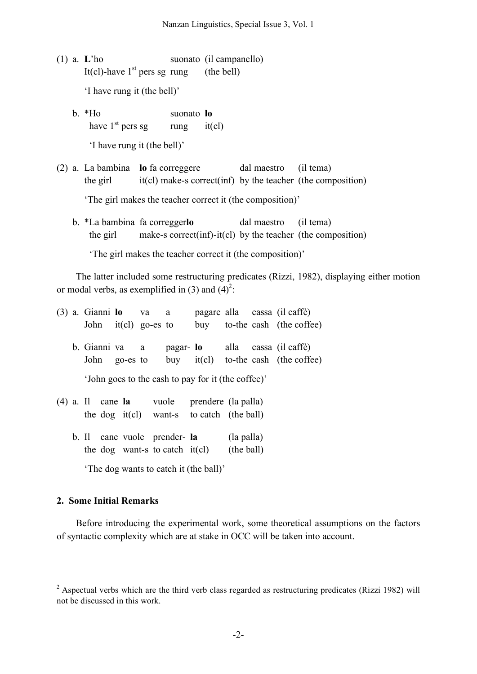- (1) a. **L**'ho suonato (il campanello) It(cl)-have  $1<sup>st</sup>$  pers sg rung (the bell) 'I have rung it (the bell)'
	- b. \*Ho suonato **lo** have  $1<sup>st</sup>$  pers sg rung it(cl) 'I have rung it (the bell)'
- (2) a. La bambina **lo** fa correggere dal maestro (il tema) the girl  $it(cl)$  make-s correct(inf) by the teacher (the composition)

'The girl makes the teacher correct it (the composition)'

b. \*La bambina fa corregger**lo** dal maestro (il tema) the girl make-s correct(inf)-it(cl) by the teacher (the composition)

'The girl makes the teacher correct it (the composition)'

The latter included some restructuring predicates (Rizzi, 1982), displaying either motion or modal verbs, as exemplified in (3) and  $(4)^2$ .

|  |  |                | $(3)$ a. Gianni <b>lo</b> va a |                                  |                                                    |            | pagare alla cassa (il caffè)          |
|--|--|----------------|--------------------------------|----------------------------------|----------------------------------------------------|------------|---------------------------------------|
|  |  |                | John $it(cl)$ go-es to         |                                  |                                                    |            | buy to-the cash (the coffee)          |
|  |  |                |                                |                                  |                                                    |            |                                       |
|  |  | b. Gianni va a |                                |                                  |                                                    |            | pagar- lo alla cassa (il caffè)       |
|  |  | John go-es to  |                                |                                  |                                                    |            | buy $it(cl)$ to-the cash (the coffee) |
|  |  |                |                                |                                  |                                                    |            |                                       |
|  |  |                |                                |                                  | 'John goes to the cash to pay for it (the coffee)' |            |                                       |
|  |  |                |                                |                                  | $(4)$ a. Il cane la vuole prendere (la palla)      |            |                                       |
|  |  |                |                                |                                  | the dog $it(cl)$ want-s to catch (the ball)        |            |                                       |
|  |  |                |                                |                                  |                                                    |            |                                       |
|  |  |                |                                | b. Il cane vuole prender- la     |                                                    | (la palla) |                                       |
|  |  |                |                                | the dog want-s to catch $it(cl)$ |                                                    | (the ball) |                                       |

'The dog wants to catch it (the ball)'

## **2. Some Initial Remarks**

Before introducing the experimental work, some theoretical assumptions on the factors of syntactic complexity which are at stake in OCC will be taken into account.

<sup>&</sup>lt;sup>2</sup> Aspectual verbs which are the third verb class regarded as restructuring predicates (Rizzi 1982) will not be discussed in this work.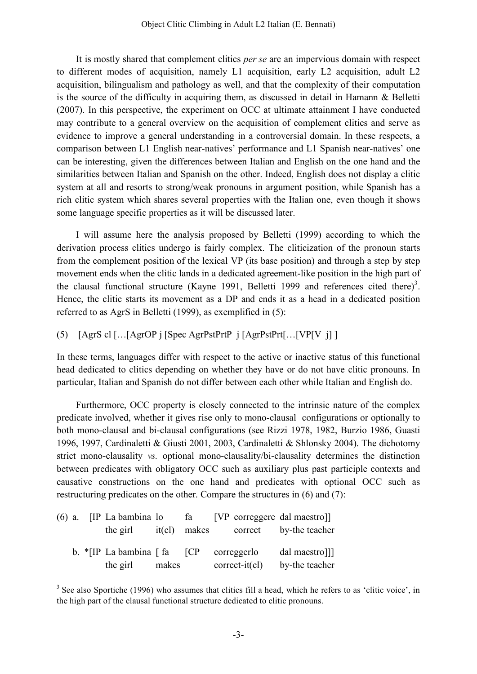It is mostly shared that complement clitics *per se* are an impervious domain with respect to different modes of acquisition, namely L1 acquisition, early L2 acquisition, adult L2 acquisition, bilingualism and pathology as well, and that the complexity of their computation is the source of the difficulty in acquiring them, as discussed in detail in Hamann & Belletti (2007). In this perspective, the experiment on OCC at ultimate attainment I have conducted may contribute to a general overview on the acquisition of complement clitics and serve as evidence to improve a general understanding in a controversial domain. In these respects, a comparison between L1 English near-natives' performance and L1 Spanish near-natives' one can be interesting, given the differences between Italian and English on the one hand and the similarities between Italian and Spanish on the other. Indeed, English does not display a clitic system at all and resorts to strong/weak pronouns in argument position, while Spanish has a rich clitic system which shares several properties with the Italian one, even though it shows some language specific properties as it will be discussed later.

I will assume here the analysis proposed by Belletti (1999) according to which the derivation process clitics undergo is fairly complex. The cliticization of the pronoun starts from the complement position of the lexical VP (its base position) and through a step by step movement ends when the clitic lands in a dedicated agreement-like position in the high part of the clausal functional structure (Kayne 1991, Belletti 1999 and references cited there)<sup>3</sup>. Hence, the clitic starts its movement as a DP and ends it as a head in a dedicated position referred to as AgrS in Belletti (1999), as exemplified in (5):

(5) [AgrS cl […[AgrOP j [Spec AgrPstPrtP j [AgrPstPrt[…[VP[V j] ]

In these terms, languages differ with respect to the active or inactive status of this functional head dedicated to clitics depending on whether they have or do not have clitic pronouns. In particular, Italian and Spanish do not differ between each other while Italian and English do.

Furthermore, OCC property is closely connected to the intrinsic nature of the complex predicate involved, whether it gives rise only to mono-clausal configurations or optionally to both mono-clausal and bi-clausal configurations (see Rizzi 1978, 1982, Burzio 1986, Guasti 1996, 1997, Cardinaletti & Giusti 2001, 2003, Cardinaletti & Shlonsky 2004). The dichotomy strict mono-clausality *vs.* optional mono-clausality/bi-clausality determines the distinction between predicates with obligatory OCC such as auxiliary plus past participle contexts and causative constructions on the one hand and predicates with optional OCC such as restructuring predicates on the other. Compare the structures in (6) and (7):

|  |                                                            |       |  |                  | $(6)$ a. [IP La bambina lo fa [VP correggere dal maestro]] |
|--|------------------------------------------------------------|-------|--|------------------|------------------------------------------------------------|
|  |                                                            |       |  |                  | the girl it (cl) makes correct by-the teacher              |
|  |                                                            |       |  |                  |                                                            |
|  | b. $\vert$ IP La bambina $\vert$ fa $\vert$ CP correggerlo |       |  |                  | dal maestro]]]                                             |
|  | the girl                                                   | makes |  | $correct-it(cl)$ | by-the teacher                                             |

<sup>&</sup>lt;sup>3</sup> See also Sportiche (1996) who assumes that clitics fill a head, which he refers to as 'clitic voice', in the high part of the clausal functional structure dedicated to clitic pronouns.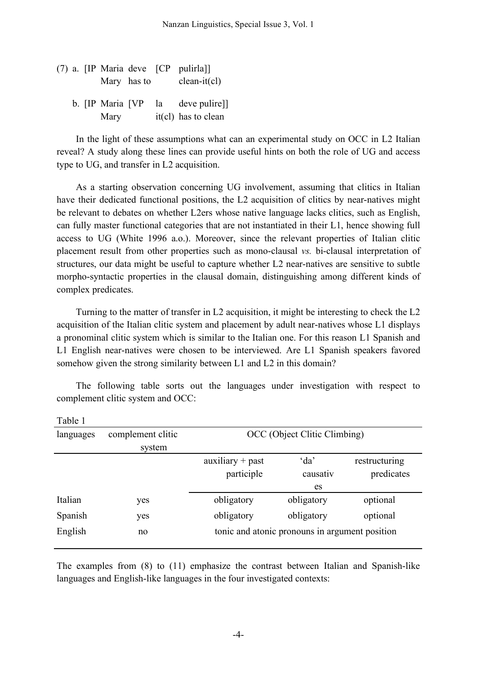(7) a. [IP Maria deve [CP pulirla]] Mary has to clean-it(cl) b. [IP Maria [VP la deve pulire]] Mary it(cl) has to clean

In the light of these assumptions what can an experimental study on OCC in L2 Italian reveal? A study along these lines can provide useful hints on both the role of UG and access type to UG, and transfer in L2 acquisition.

As a starting observation concerning UG involvement, assuming that clitics in Italian have their dedicated functional positions, the L2 acquisition of clitics by near-natives might be relevant to debates on whether L2ers whose native language lacks clitics, such as English, can fully master functional categories that are not instantiated in their L1, hence showing full access to UG (White 1996 a.o.). Moreover, since the relevant properties of Italian clitic placement result from other properties such as mono-clausal *vs.* bi-clausal interpretation of structures, our data might be useful to capture whether L2 near-natives are sensitive to subtle morpho-syntactic properties in the clausal domain, distinguishing among different kinds of complex predicates.

Turning to the matter of transfer in L2 acquisition, it might be interesting to check the L2 acquisition of the Italian clitic system and placement by adult near-natives whose L1 displays a pronominal clitic system which is similar to the Italian one. For this reason L1 Spanish and L1 English near-natives were chosen to be interviewed. Are L1 Spanish speakers favored somehow given the strong similarity between L1 and L2 in this domain?

The following table sorts out the languages under investigation with respect to complement clitic system and OCC:

| r avit r  |                   |                              |                                                |               |  |  |  |  |  |
|-----------|-------------------|------------------------------|------------------------------------------------|---------------|--|--|--|--|--|
| languages | complement clitic | OCC (Object Clitic Climbing) |                                                |               |  |  |  |  |  |
|           | system            |                              |                                                |               |  |  |  |  |  |
|           |                   | $auxiliary + past$           | da'                                            | restructuring |  |  |  |  |  |
|           |                   | participle                   | causativ                                       | predicates    |  |  |  |  |  |
|           |                   |                              | es                                             |               |  |  |  |  |  |
| Italian   | yes               | obligatory                   | obligatory                                     | optional      |  |  |  |  |  |
| Spanish   | yes               | obligatory                   | obligatory                                     | optional      |  |  |  |  |  |
| English   | no                |                              | tonic and atonic pronouns in argument position |               |  |  |  |  |  |
|           |                   |                              |                                                |               |  |  |  |  |  |

Table 1

The examples from (8) to (11) emphasize the contrast between Italian and Spanish-like languages and English-like languages in the four investigated contexts: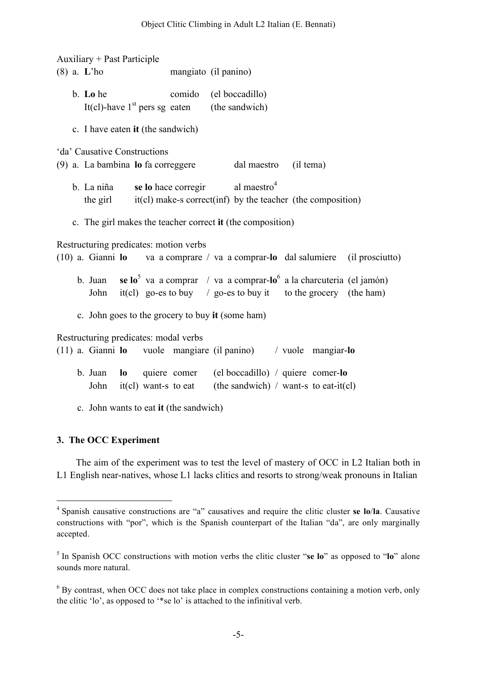Auxiliary + Past Participle (8) a. **L**'ho mangiato (il panino) b. **Lo** he comido (el boccadillo) It(cl)-have  $1<sup>st</sup>$  pers sg eaten (the sandwich) c. I have eaten **it** (the sandwich) 'da' Causative Constructions (9) a. La bambina **lo** fa correggere dal maestro (il tema) b. La niña **se lo** hace corregir al maestro<sup>4</sup> the girl it(cl) make-s correct(inf) by the teacher (the composition) c. The girl makes the teacher correct **it** (the composition) Restructuring predicates: motion verbs (10) a. Gianni **lo** va a comprare / va a comprar-**lo** dal salumiere (il prosciutto) b. Juan **se lo**<sup>5</sup> va a comprar / va a comprar-**lo**<sup>6</sup> a la charcuteria (el jamón) John it(cl) go-es to buy / go-es to buy it to the grocery (the ham) c. John goes to the grocery to buy **it** (some ham) Restructuring predicates: modal verbs (11) a. Gianni **lo** vuole mangiare (il panino) / vuole mangiar-**lo** b. Juan **lo** quiere comer (el boccadillo) / quiere comer-**lo** John it(cl) want-s to eat (the sandwich) / want-s to eat-it(cl) c. John wants to eat **it** (the sandwich)

## **3. The OCC Experiment**

The aim of the experiment was to test the level of mastery of OCC in L2 Italian both in L1 English near-natives, whose L1 lacks clitics and resorts to strong/weak pronouns in Italian

 <sup>4</sup> Spanish causative constructions are "a" causatives and require the clitic cluster **se lo**/**la**. Causative constructions with "por", which is the Spanish counterpart of the Italian "da", are only marginally accepted.

<sup>5</sup> In Spanish OCC constructions with motion verbs the clitic cluster "**se lo**" as opposed to "**lo**" alone sounds more natural.

<sup>&</sup>lt;sup>6</sup> By contrast, when OCC does not take place in complex constructions containing a motion verb, only the clitic 'lo', as opposed to '\*se lo' is attached to the infinitival verb.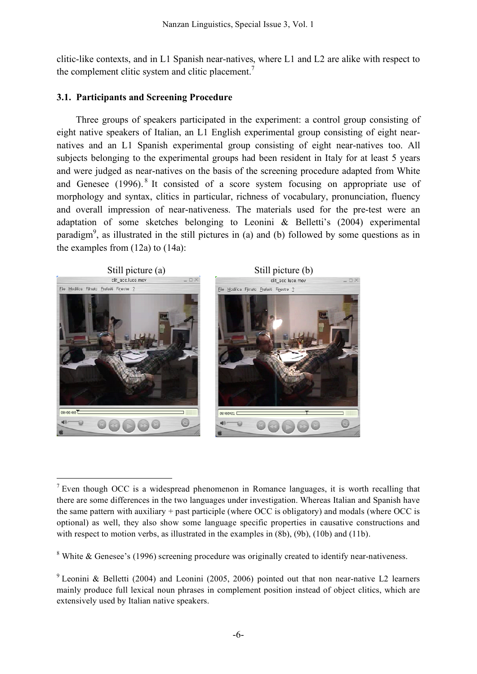clitic-like contexts, and in L1 Spanish near-natives, where L1 and L2 are alike with respect to the complement clitic system and clitic placement.<sup>7</sup>

## **3.1. Participants and Screening Procedure**

Three groups of speakers participated in the experiment: a control group consisting of eight native speakers of Italian, an L1 English experimental group consisting of eight nearnatives and an L1 Spanish experimental group consisting of eight near-natives too. All subjects belonging to the experimental groups had been resident in Italy for at least 5 years and were judged as near-natives on the basis of the screening procedure adapted from White and Genesee (1996).<sup>8</sup> It consisted of a score system focusing on appropriate use of morphology and syntax, clitics in particular, richness of vocabulary, pronunciation, fluency and overall impression of near-nativeness. The materials used for the pre-test were an adaptation of some sketches belonging to Leonini & Belletti's (2004) experimental paradigm<sup>9</sup>, as illustrated in the still pictures in (a) and (b) followed by some questions as in the examples from (12a) to (14a):



<sup>8</sup> White & Genesee's (1996) screening procedure was originally created to identify near-nativeness.

 $<sup>7</sup>$  Even though OCC is a widespread phenomenon in Romance languages, it is worth recalling that</sup> there are some differences in the two languages under investigation. Whereas Italian and Spanish have the same pattern with auxiliary + past participle (where OCC is obligatory) and modals (where OCC is optional) as well, they also show some language specific properties in causative constructions and with respect to motion verbs, as illustrated in the examples in  $(8b)$ ,  $(9b)$ ,  $(10b)$  and  $(11b)$ .

<sup>&</sup>lt;sup>9</sup> Leonini & Belletti (2004) and Leonini (2005, 2006) pointed out that non near-native L2 learners mainly produce full lexical noun phrases in complement position instead of object clitics, which are extensively used by Italian native speakers.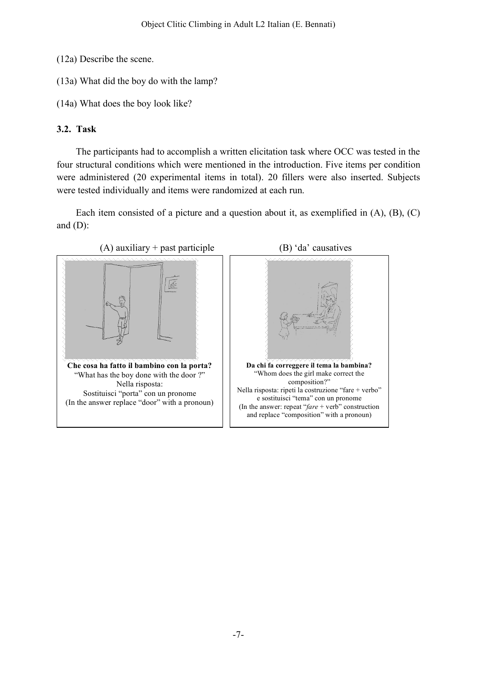- (12a) Describe the scene.
- (13a) What did the boy do with the lamp?
- (14a) What does the boy look like?

# **3.2. Task**

The participants had to accomplish a written elicitation task where OCC was tested in the four structural conditions which were mentioned in the introduction. Five items per condition were administered (20 experimental items in total). 20 fillers were also inserted. Subjects were tested individually and items were randomized at each run.

Each item consisted of a picture and a question about it, as exemplified in (A), (B), (C) and  $(D)$ :



-7-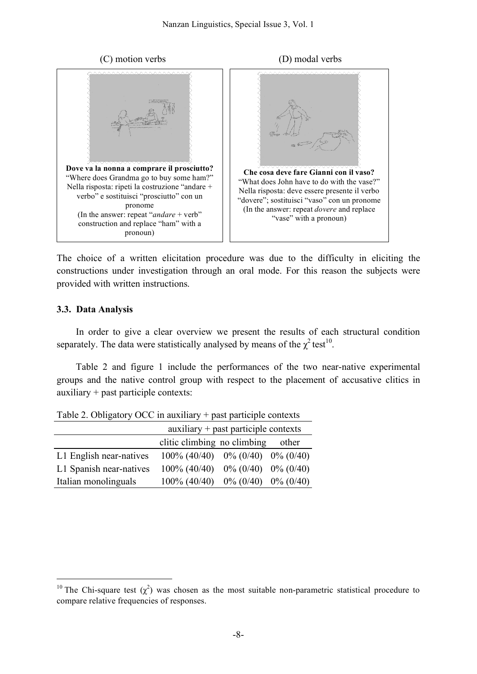



The choice of a written elicitation procedure was due to the difficulty in eliciting the constructions under investigation through an oral mode. For this reason the subjects were provided with written instructions.

#### **3.3. Data Analysis**

In order to give a clear overview we present the results of each structural condition separately. The data were statistically analysed by means of the  $\chi^2$  test<sup>10</sup>.

Table 2 and figure 1 include the performances of the two near-native experimental groups and the native control group with respect to the placement of accusative clitics in auxiliary + past participle contexts:

|                         | $auxiliary + past particle contexts$      |       |
|-------------------------|-------------------------------------------|-------|
|                         | clitic climbing no climbing               | other |
| L1 English near-natives | $100\% (40/40)$ $0\% (0/40)$ $0\% (0/40)$ |       |
| L1 Spanish near-natives | $100\% (40/40)$ $0\% (0/40)$ $0\% (0/40)$ |       |
| Italian monolinguals    | $100\% (40/40)$ $0\% (0/40)$ $0\% (0/40)$ |       |

Table 2. Obligatory OCC in auxiliary + past participle contexts

<sup>&</sup>lt;sup>10</sup> The Chi-square test  $(\chi^2)$  was chosen as the most suitable non-parametric statistical procedure to compare relative frequencies of responses.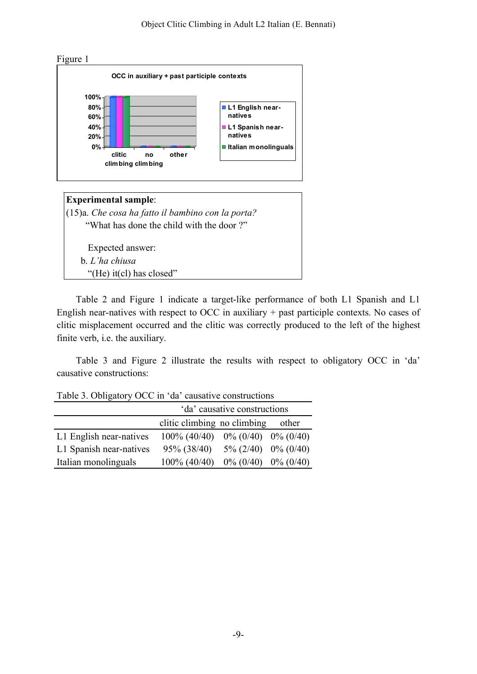

Expected answer: b. *L'ha chiusa* "(He) it(cl) has closed"

Table 2 and Figure 1 indicate a target-like performance of both L1 Spanish and L1 English near-natives with respect to OCC in auxiliary + past participle contexts. No cases of clitic misplacement occurred and the clitic was correctly produced to the left of the highest finite verb, i.e. the auxiliary.

Table 3 and Figure 2 illustrate the results with respect to obligatory OCC in 'da' causative constructions:

Table 3. Obligatory OCC in 'da' causative constructions

|                         | 'da' causative constructions              |                           |  |  |  |  |  |  |
|-------------------------|-------------------------------------------|---------------------------|--|--|--|--|--|--|
|                         | clitic climbing no climbing               |                           |  |  |  |  |  |  |
| L1 English near-natives | $100\% (40/40)$ $0\% (0/40)$ $0\% (0/40)$ |                           |  |  |  |  |  |  |
| L1 Spanish near-natives | $95\% (38/40)$                            | $5\% (2/40)$ 0% (0/40)    |  |  |  |  |  |  |
| Italian monolinguals    | $100\%$ (40/40)                           | $0\%$ (0/40) $0\%$ (0/40) |  |  |  |  |  |  |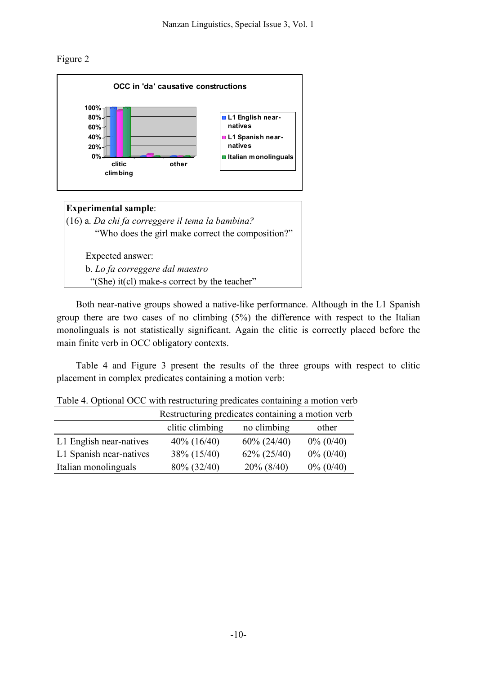Figure 2





Both near-native groups showed a native-like performance. Although in the L1 Spanish group there are two cases of no climbing (5%) the difference with respect to the Italian monolinguals is not statistically significant. Again the clitic is correctly placed before the main finite verb in OCC obligatory contexts.

Table 4 and Figure 3 present the results of the three groups with respect to clitic placement in complex predicates containing a motion verb:

|                         | Restructuring predicates containing a motion verb |                |              |  |  |  |  |  |
|-------------------------|---------------------------------------------------|----------------|--------------|--|--|--|--|--|
|                         | clitic climbing                                   | no climbing    | other        |  |  |  |  |  |
| L1 English near-natives | $40\%$ (16/40)                                    | $60\% (24/40)$ | $0\% (0/40)$ |  |  |  |  |  |
| L1 Spanish near-natives | $38\% (15/40)$                                    | $62\% (25/40)$ | $0\% (0/40)$ |  |  |  |  |  |
| Italian monolinguals    | 80% (32/40)                                       | $20\% (8/40)$  | $0\% (0/40)$ |  |  |  |  |  |

Table 4. Optional OCC with restructuring predicates containing a motion verb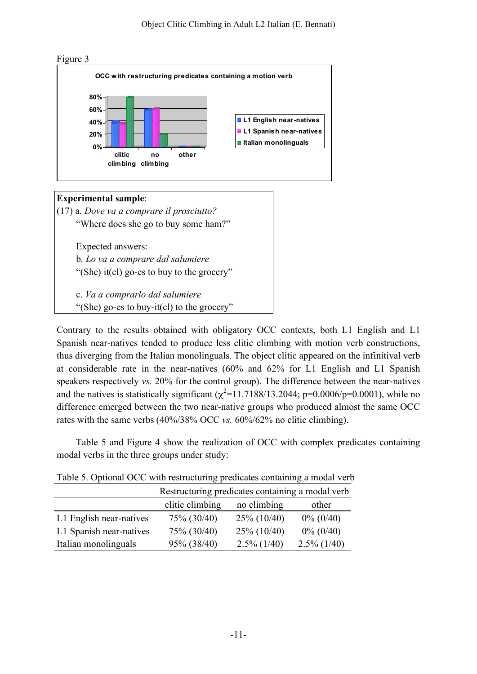



## **Experimental sample**:

(17) a. *Dove va a comprare il prosciutto?* "Where does she go to buy some ham?"

Expected answers:

b. *Lo va a comprare dal salumiere*

"(She) it(cl) go-es to buy to the grocery"

c. *Va a comprarlo dal salumiere*

"(She) go-es to buy-it(cl) to the grocery"

Contrary to the results obtained with obligatory OCC contexts, both L1 English and L1 Spanish near-natives tended to produce less clitic climbing with motion verb constructions, thus diverging from the Italian monolinguals. The object clitic appeared on the infinitival verb at considerable rate in the near-natives (60% and 62% for L1 English and L1 Spanish speakers respectively *vs.* 20% for the control group). The difference between the near-natives and the natives is statistically significant  $(\chi^2=11.7188/13.2044; p=0.0006/p=0.0001)$ , while no difference emerged between the two near-native groups who produced almost the same OCC rates with the same verbs (40%/38% OCC *vs.* 60%/62% no clitic climbing).

Table 5 and Figure 4 show the realization of OCC with complex predicates containing modal verbs in the three groups under study:

|                         | Restructuring predicates containing a modal verb |                |                |  |  |  |  |  |
|-------------------------|--------------------------------------------------|----------------|----------------|--|--|--|--|--|
|                         | clitic climbing<br>no climbing<br>other          |                |                |  |  |  |  |  |
| L1 English near-natives | 75% (30/40)                                      | $25\% (10/40)$ | $0\% (0/40)$   |  |  |  |  |  |
| L1 Spanish near-natives | 75% (30/40)                                      | $25\%$ (10/40) | $0\% (0/40)$   |  |  |  |  |  |
| Italian monolinguals    | 95% (38/40)                                      | $2.5\%$ (1/40) | $2.5\%$ (1/40) |  |  |  |  |  |

Table 5. Optional OCC with restructuring predicates containing a modal verb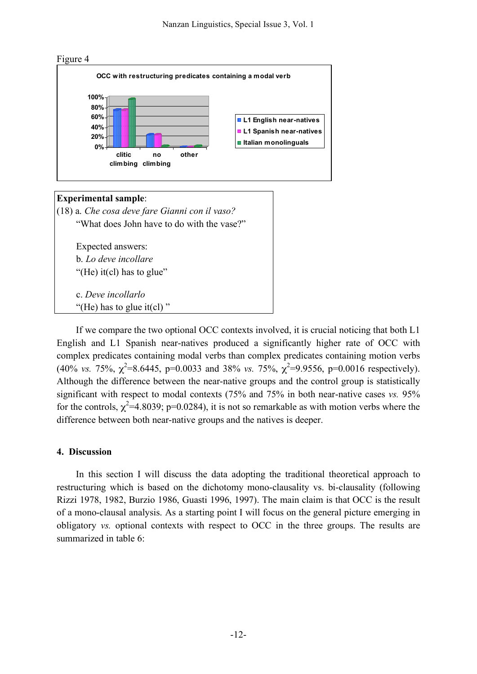

#### **Experimental sample**:

(18) a. *Che cosa deve fare Gianni con il vaso?* "What does John have to do with the vase?"

Expected answers: b. *Lo deve incollare* "(He) it(cl) has to glue"

c. *Deve incollarlo* "(He) has to glue it(cl)"

If we compare the two optional OCC contexts involved, it is crucial noticing that both L1 English and L1 Spanish near-natives produced a significantly higher rate of OCC with complex predicates containing modal verbs than complex predicates containing motion verbs (40% *vs.* 75%,  $\chi^2$ =8.6445, p=0.0033 and 38% *vs.* 75%,  $\chi^2$ =9.9556, p=0.0016 respectively). Although the difference between the near-native groups and the control group is statistically significant with respect to modal contexts (75% and 75% in both near-native cases *vs.* 95% for the controls,  $\chi^2$ =4.8039; p=0.0284), it is not so remarkable as with motion verbs where the difference between both near-native groups and the natives is deeper.

#### **4. Discussion**

In this section I will discuss the data adopting the traditional theoretical approach to restructuring which is based on the dichotomy mono-clausality vs. bi-clausality (following Rizzi 1978, 1982, Burzio 1986, Guasti 1996, 1997). The main claim is that OCC is the result of a mono-clausal analysis. As a starting point I will focus on the general picture emerging in obligatory *vs.* optional contexts with respect to OCC in the three groups. The results are summarized in table 6: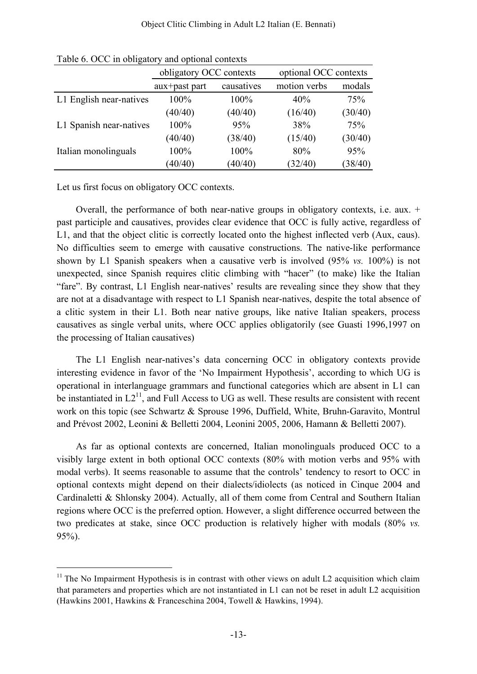|                         | obligatory OCC contexts |            | optional OCC contexts |         |  |  |
|-------------------------|-------------------------|------------|-----------------------|---------|--|--|
|                         | aux+past part           | causatives | motion verbs          | modals  |  |  |
| L1 English near-natives | $100\%$                 | 100%       | 40%                   | 75%     |  |  |
|                         | (40/40)                 | (40/40)    | (16/40)               | (30/40) |  |  |
| L1 Spanish near-natives | 100%                    | 95%        | 38%                   | 75%     |  |  |
|                         | (40/40)                 | (38/40)    | (15/40)               | (30/40) |  |  |
| Italian monolinguals    | 100%                    | 100%       | 80%                   | 95%     |  |  |
|                         | (40/40)                 | (40/40)    | (32/40)               | (38/40) |  |  |

Table 6. OCC in obligatory and optional contexts

Let us first focus on obligatory OCC contexts.

Overall, the performance of both near-native groups in obligatory contexts, i.e. aux. + past participle and causatives, provides clear evidence that OCC is fully active, regardless of L1, and that the object clitic is correctly located onto the highest inflected verb (Aux, caus). No difficulties seem to emerge with causative constructions. The native-like performance shown by L1 Spanish speakers when a causative verb is involved (95% *vs.* 100%) is not unexpected, since Spanish requires clitic climbing with "hacer" (to make) like the Italian "fare". By contrast, L1 English near-natives' results are revealing since they show that they are not at a disadvantage with respect to L1 Spanish near-natives, despite the total absence of a clitic system in their L1. Both near native groups, like native Italian speakers, process causatives as single verbal units, where OCC applies obligatorily (see Guasti 1996,1997 on the processing of Italian causatives)

The L1 English near-natives's data concerning OCC in obligatory contexts provide interesting evidence in favor of the 'No Impairment Hypothesis', according to which UG is operational in interlanguage grammars and functional categories which are absent in L1 can be instantiated in  $L2^{11}$ , and Full Access to UG as well. These results are consistent with recent work on this topic (see Schwartz & Sprouse 1996, Duffield, White, Bruhn-Garavito, Montrul and Prévost 2002, Leonini & Belletti 2004, Leonini 2005, 2006, Hamann & Belletti 2007).

As far as optional contexts are concerned, Italian monolinguals produced OCC to a visibly large extent in both optional OCC contexts (80% with motion verbs and 95% with modal verbs). It seems reasonable to assume that the controls' tendency to resort to OCC in optional contexts might depend on their dialects/idiolects (as noticed in Cinque 2004 and Cardinaletti & Shlonsky 2004). Actually, all of them come from Central and Southern Italian regions where OCC is the preferred option. However, a slight difference occurred between the two predicates at stake, since OCC production is relatively higher with modals (80% *vs.* 95%).

 $11$  The No Impairment Hypothesis is in contrast with other views on adult L2 acquisition which claim that parameters and properties which are not instantiated in L1 can not be reset in adult L2 acquisition (Hawkins 2001, Hawkins & Franceschina 2004, Towell & Hawkins, 1994).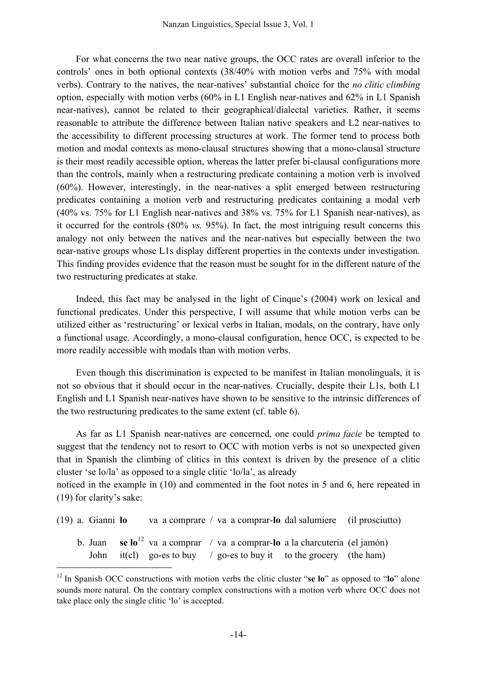For what concerns the two near native groups, the OCC rates are overall inferior to the controls' ones in both optional contexts (38/40% with motion verbs and 75% with modal verbs). Contrary to the natives, the near-natives' substantial choice for the *no clitic climbing* option, especially with motion verbs (60% in L1 English near-natives and 62% in L1 Spanish near-natives), cannot be related to their geographical/dialectal varieties. Rather, it seems reasonable to attribute the difference between Italian native speakers and L2 near-natives to the accessibility to different processing structures at work. The former tend to process both motion and modal contexts as mono-clausal structures showing that a mono-clausal structure is their most readily accessible option, whereas the latter prefer bi-clausal configurations more than the controls, mainly when a restructuring predicate containing a motion verb is involved (60%). However, interestingly, in the near-natives a split emerged between restructuring predicates containing a motion verb and restructuring predicates containing a modal verb (40% vs. 75% for L1 English near-natives and 38% vs. 75% for L1 Spanish near-natives), as it occurred for the controls (80% *vs.* 95%). In fact, the most intriguing result concerns this analogy not only between the natives and the near-natives but especially between the two near-native groups whose L1s display different properties in the contexts under investigation. This finding provides evidence that the reason must be sought for in the different nature of the two restructuring predicates at stake.

Indeed, this fact may be analysed in the light of Cinque's (2004) work on lexical and functional predicates. Under this perspective, I will assume that while motion verbs can be utilized either as 'restructuring' or lexical verbs in Italian, modals, on the contrary, have only a functional usage. Accordingly, a mono-clausal configuration, hence OCC, is expected to be more readily accessible with modals than with motion verbs.

Even though this discrimination is expected to be manifest in Italian monolinguals, it is not so obvious that it should occur in the near-natives. Crucially, despite their L1s, both L1 English and L1 Spanish near-natives have shown to be sensitive to the intrinsic differences of the two restructuring predicates to the same extent (cf. table 6).

As far as L1 Spanish near-natives are concerned, one could *prima facie* be tempted to suggest that the tendency not to resort to OCC with motion verbs is not so unexpected given that in Spanish the climbing of clitics in this context is driven by the presence of a clitic cluster 'se lo/la' as opposed to a single clitic 'lo/la', as already

noticed in the example in (10) and commented in the foot notes in 5 and 6, here repeated in (19) for clarity's sake:

(19) a. Gianni **lo** va a comprare / va a comprar-**lo** dal salumiere (il prosciutto)

b. Juan **se lo**<sup>12</sup> va a comprar / va a comprar-**lo** a la charcuteria (el jamón) John it(cl) go-es to buy / go-es to buy it to the grocery (the ham)

 <sup>12</sup> In Spanish OCC constructions with motion verbs the clitic cluster "**se lo**" as opposed to "**lo**" alone sounds more natural. On the contrary complex constructions with a motion verb where OCC does not take place only the single clitic 'lo' is accepted.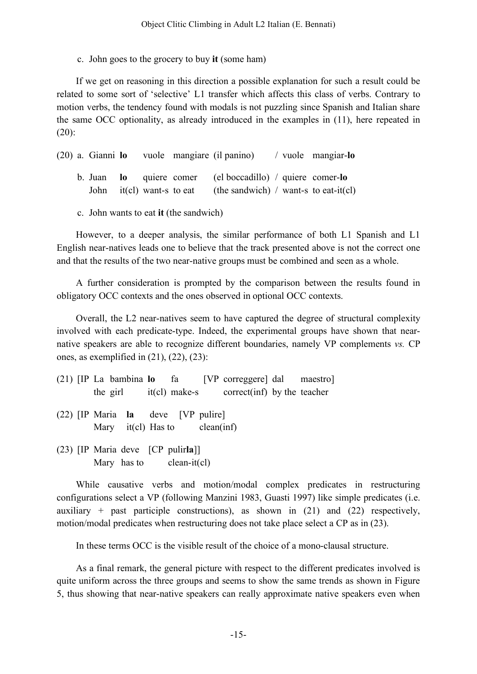c. John goes to the grocery to buy **it** (some ham)

If we get on reasoning in this direction a possible explanation for such a result could be related to some sort of 'selective' L1 transfer which affects this class of verbs. Contrary to motion verbs, the tendency found with modals is not puzzling since Spanish and Italian share the same OCC optionality, as already introduced in the examples in (11), here repeated in  $(20)$ :

(20) a. Gianni **lo** vuole mangiare (il panino) / vuole mangiar-**lo** b. Juan **lo** quiere comer (el boccadillo) / quiere comer-**lo** John it(cl) want-s to eat (the sandwich) / want-s to eat-it(cl)

c. John wants to eat **it** (the sandwich)

However, to a deeper analysis, the similar performance of both L1 Spanish and L1 English near-natives leads one to believe that the track presented above is not the correct one and that the results of the two near-native groups must be combined and seen as a whole.

A further consideration is prompted by the comparison between the results found in obligatory OCC contexts and the ones observed in optional OCC contexts.

Overall, the L2 near-natives seem to have captured the degree of structural complexity involved with each predicate-type. Indeed, the experimental groups have shown that nearnative speakers are able to recognize different boundaries, namely VP complements *vs.* CP ones, as exemplified in  $(21)$ ,  $(22)$ ,  $(23)$ :

|  |  |                                                                                | (21) IP La bambina lo fa [VP correggere] dal maestro]<br>the girl it (cl) make-s correct (inf) by the teacher |  |
|--|--|--------------------------------------------------------------------------------|---------------------------------------------------------------------------------------------------------------|--|
|  |  | $(22)$ [IP Maria <b>la</b> deve [VP pulire]<br>Mary $it(cl)$ Has to clean(inf) |                                                                                                               |  |
|  |  | $(23)$ [IP Maria deve [CP pulirla]]<br>Mary has to clean-it(cl)                |                                                                                                               |  |

While causative verbs and motion/modal complex predicates in restructuring configurations select a VP (following Manzini 1983, Guasti 1997) like simple predicates (i.e. auxiliary + past participle constructions), as shown in  $(21)$  and  $(22)$  respectively, motion/modal predicates when restructuring does not take place select a CP as in (23).

In these terms OCC is the visible result of the choice of a mono-clausal structure.

As a final remark, the general picture with respect to the different predicates involved is quite uniform across the three groups and seems to show the same trends as shown in Figure 5, thus showing that near-native speakers can really approximate native speakers even when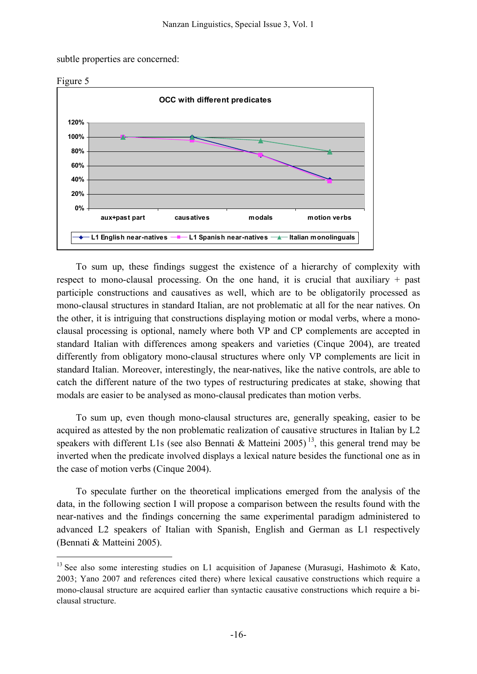subtle properties are concerned:



To sum up, these findings suggest the existence of a hierarchy of complexity with respect to mono-clausal processing. On the one hand, it is crucial that auxiliary + past participle constructions and causatives as well, which are to be obligatorily processed as mono-clausal structures in standard Italian, are not problematic at all for the near natives. On the other, it is intriguing that constructions displaying motion or modal verbs, where a monoclausal processing is optional, namely where both VP and CP complements are accepted in standard Italian with differences among speakers and varieties (Cinque 2004), are treated differently from obligatory mono-clausal structures where only VP complements are licit in standard Italian. Moreover, interestingly, the near-natives, like the native controls, are able to catch the different nature of the two types of restructuring predicates at stake, showing that modals are easier to be analysed as mono-clausal predicates than motion verbs.

To sum up, even though mono-clausal structures are, generally speaking, easier to be acquired as attested by the non problematic realization of causative structures in Italian by L2 speakers with different L1s (see also Bennati & Matteini 2005)<sup>13</sup>, this general trend may be inverted when the predicate involved displays a lexical nature besides the functional one as in the case of motion verbs (Cinque 2004).

To speculate further on the theoretical implications emerged from the analysis of the data, in the following section I will propose a comparison between the results found with the near-natives and the findings concerning the same experimental paradigm administered to advanced L2 speakers of Italian with Spanish, English and German as L1 respectively (Bennati & Matteini 2005).

<sup>&</sup>lt;sup>13</sup> See also some interesting studies on L1 acquisition of Japanese (Murasugi, Hashimoto & Kato, 2003; Yano 2007 and references cited there) where lexical causative constructions which require a mono-clausal structure are acquired earlier than syntactic causative constructions which require a biclausal structure.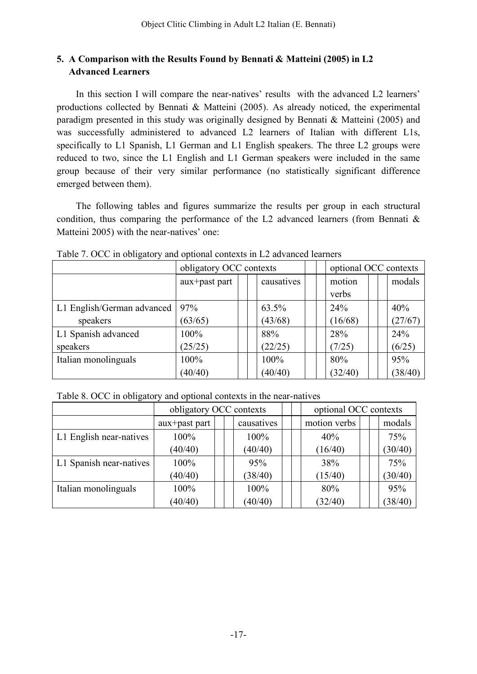# **5. A Comparison with the Results Found by Bennati & Matteini (2005) in L2 Advanced Learners**

In this section I will compare the near-natives' results with the advanced L2 learners' productions collected by Bennati & Matteini (2005). As already noticed, the experimental paradigm presented in this study was originally designed by Bennati & Matteini (2005) and was successfully administered to advanced L2 learners of Italian with different L1s, specifically to L1 Spanish, L1 German and L1 English speakers. The three L2 groups were reduced to two, since the L1 English and L1 German speakers were included in the same group because of their very similar performance (no statistically significant difference emerged between them).

The following tables and figures summarize the results per group in each structural condition, thus comparing the performance of the L2 advanced learners (from Bennati  $\&$ Matteini 2005) with the near-natives' one:

|                            | obligatory OCC contexts |  | optional OCC contexts |                 |         |
|----------------------------|-------------------------|--|-----------------------|-----------------|---------|
|                            | aux+past part           |  | causatives            | motion<br>verbs | modals  |
| L1 English/German advanced | 97%                     |  | 63.5%                 | 24%             | 40%     |
| speakers                   | (63/65)                 |  | (43/68)               | (16/68)         | (27/67) |
| L1 Spanish advanced        | 100%                    |  | 88%                   | 28%             | 24%     |
| speakers                   | (25/25)                 |  | (22/25)               | (7/25)          | (6/25)  |
| Italian monolinguals       | 100%                    |  | 100%                  | 80%             | 95%     |
|                            | (40/40)                 |  | (40/40)               | (32/40)         | (38/40) |

Table 7. OCC in obligatory and optional contexts in L2 advanced learners

Table 8. OCC in obligatory and optional contexts in the near-natives

|                         |               | optional OCC contexts<br>obligatory OCC contexts |  |            |  |              |  |         |
|-------------------------|---------------|--------------------------------------------------|--|------------|--|--------------|--|---------|
|                         | aux+past part |                                                  |  | causatives |  | motion verbs |  | modals  |
| L1 English near-natives | 100%          |                                                  |  | 100%       |  | 40%          |  | 75%     |
|                         | (40/40)       |                                                  |  | (40/40)    |  | (16/40)      |  | (30/40) |
| L1 Spanish near-natives | 100%          |                                                  |  | 95%        |  | 38%          |  | 75%     |
|                         | (40/40)       |                                                  |  | (38/40)    |  | (15/40)      |  | (30/40) |
| Italian monolinguals    | $100\%$       |                                                  |  | 100%       |  | 80%          |  | 95%     |
|                         | (40/40)       |                                                  |  | (40/40)    |  | (32/40)      |  | (38/40) |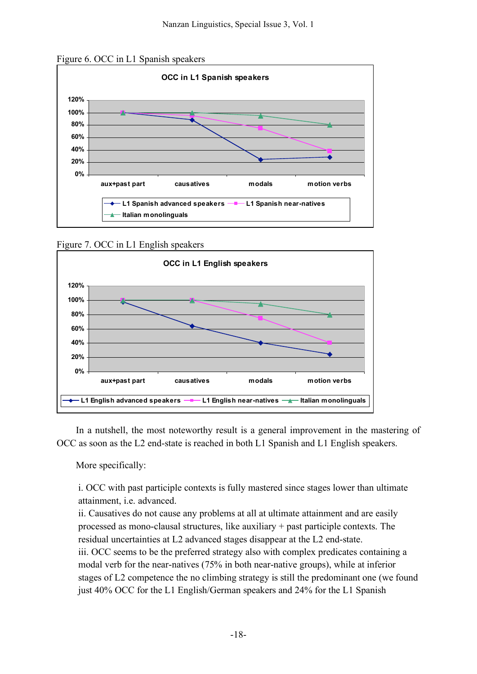



Figure 7. OCC in L1 English speakers



In a nutshell, the most noteworthy result is a general improvement in the mastering of OCC as soon as the L2 end-state is reached in both L1 Spanish and L1 English speakers.

More specifically:

i. OCC with past participle contexts is fully mastered since stages lower than ultimate attainment, i.e. advanced.

ii. Causatives do not cause any problems at all at ultimate attainment and are easily processed as mono-clausal structures, like auxiliary + past participle contexts. The residual uncertainties at L2 advanced stages disappear at the L2 end-state. iii. OCC seems to be the preferred strategy also with complex predicates containing a modal verb for the near-natives (75% in both near-native groups), while at inferior stages of L2 competence the no climbing strategy is still the predominant one (we found just 40% OCC for the L1 English/German speakers and 24% for the L1 Spanish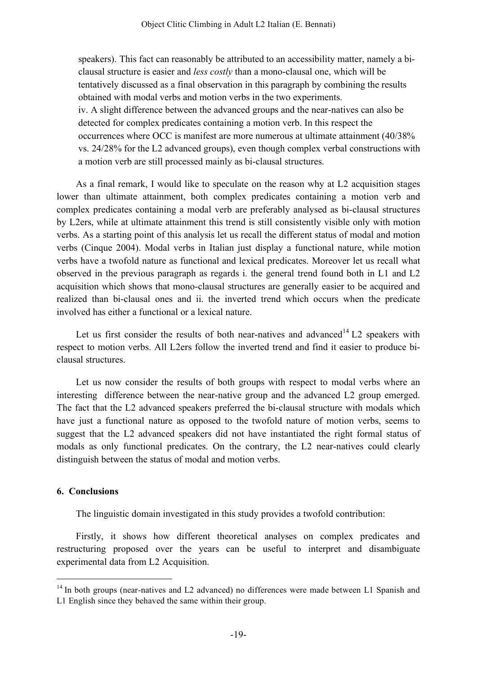speakers). This fact can reasonably be attributed to an accessibility matter, namely a biclausal structure is easier and *less costly* than a mono-clausal one, which will be tentatively discussed as a final observation in this paragraph by combining the results obtained with modal verbs and motion verbs in the two experiments. iv. A slight difference between the advanced groups and the near-natives can also be detected for complex predicates containing a motion verb. In this respect the occurrences where OCC is manifest are more numerous at ultimate attainment (40/38% vs. 24/28% for the L2 advanced groups), even though complex verbal constructions with a motion verb are still processed mainly as bi-clausal structures.

As a final remark, I would like to speculate on the reason why at L2 acquisition stages lower than ultimate attainment, both complex predicates containing a motion verb and complex predicates containing a modal verb are preferably analysed as bi-clausal structures by L2ers, while at ultimate attainment this trend is still consistently visible only with motion verbs. As a starting point of this analysis let us recall the different status of modal and motion verbs (Cinque 2004). Modal verbs in Italian just display a functional nature, while motion verbs have a twofold nature as functional and lexical predicates. Moreover let us recall what observed in the previous paragraph as regards i. the general trend found both in L1 and L2 acquisition which shows that mono-clausal structures are generally easier to be acquired and realized than bi-clausal ones and ii. the inverted trend which occurs when the predicate involved has either a functional or a lexical nature.

Let us first consider the results of both near-natives and advanced<sup>14</sup> L2 speakers with respect to motion verbs. All L2ers follow the inverted trend and find it easier to produce biclausal structures.

Let us now consider the results of both groups with respect to modal verbs where an interesting difference between the near-native group and the advanced L2 group emerged. The fact that the L2 advanced speakers preferred the bi-clausal structure with modals which have just a functional nature as opposed to the twofold nature of motion verbs, seems to suggest that the L2 advanced speakers did not have instantiated the right formal status of modals as only functional predicates. On the contrary, the L2 near-natives could clearly distinguish between the status of modal and motion verbs.

## **6. Conclusions**

The linguistic domain investigated in this study provides a twofold contribution:

Firstly, it shows how different theoretical analyses on complex predicates and restructuring proposed over the years can be useful to interpret and disambiguate experimental data from L2 Acquisition.

<sup>&</sup>lt;sup>14</sup> In both groups (near-natives and L2 advanced) no differences were made between L1 Spanish and L1 English since they behaved the same within their group.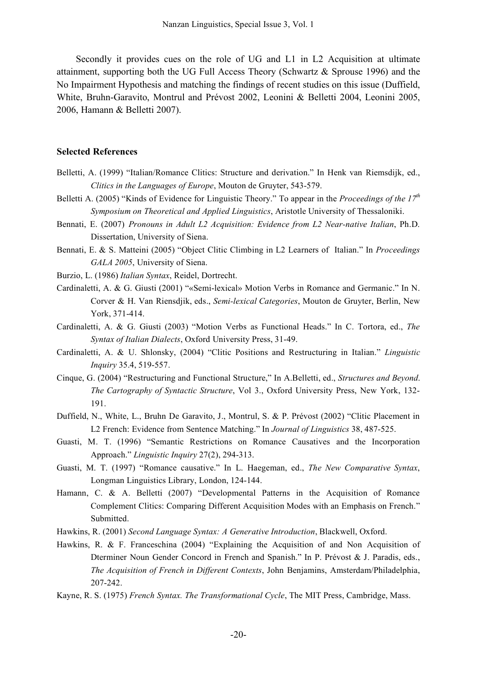Secondly it provides cues on the role of UG and L1 in L2 Acquisition at ultimate attainment, supporting both the UG Full Access Theory (Schwartz & Sprouse 1996) and the No Impairment Hypothesis and matching the findings of recent studies on this issue (Duffield, White, Bruhn-Garavito, Montrul and Prévost 2002, Leonini & Belletti 2004, Leonini 2005, 2006, Hamann & Belletti 2007).

#### **Selected References**

- Belletti, A. (1999) "Italian/Romance Clitics: Structure and derivation." In Henk van Riemsdijk, ed., *Clitics in the Languages of Europe*, Mouton de Gruyter, 543-579.
- Belletti A. (2005) "Kinds of Evidence for Linguistic Theory." To appear in the *Proceedings of the 17th Symposium on Theoretical and Applied Linguistics*, Aristotle University of Thessaloniki.
- Bennati, E. (2007) *Pronouns in Adult L2 Acquisition: Evidence from L2 Near-native Italian*, Ph.D. Dissertation, University of Siena.
- Bennati, E. & S. Matteini (2005) "Object Clitic Climbing in L2 Learners of Italian." In *Proceedings GALA 2005*, University of Siena.
- Burzio, L. (1986) *Italian Syntax*, Reidel, Dortrecht.
- Cardinaletti, A. & G. Giusti (2001) "«Semi-lexical» Motion Verbs in Romance and Germanic." In N. Corver & H. Van Riensdjik, eds., *Semi-lexical Categories*, Mouton de Gruyter, Berlin, New York, 371-414.
- Cardinaletti, A. & G. Giusti (2003) "Motion Verbs as Functional Heads." In C. Tortora, ed., *The Syntax of Italian Dialects*, Oxford University Press, 31-49.
- Cardinaletti, A. & U. Shlonsky, (2004) "Clitic Positions and Restructuring in Italian." *Linguistic Inquiry* 35.4, 519-557.
- Cinque, G. (2004) "Restructuring and Functional Structure," In A.Belletti, ed., *Structures and Beyond*. *The Cartography of Syntactic Structure*, Vol 3., Oxford University Press, New York, 132- 191.
- Duffield, N., White, L., Bruhn De Garavito, J., Montrul, S. & P. Prévost (2002) "Clitic Placement in L2 French: Evidence from Sentence Matching." In *Journal of Linguistics* 38, 487-525.
- Guasti, M. T. (1996) "Semantic Restrictions on Romance Causatives and the Incorporation Approach." *Linguistic Inquiry* 27(2), 294-313.
- Guasti, M. T. (1997) "Romance causative." In L. Haegeman, ed., *The New Comparative Syntax*, Longman Linguistics Library, London, 124-144.
- Hamann, C. & A. Belletti (2007) "Developmental Patterns in the Acquisition of Romance Complement Clitics: Comparing Different Acquisition Modes with an Emphasis on French." Submitted.
- Hawkins, R. (2001) *Second Language Syntax: A Generative Introduction*, Blackwell, Oxford.
- Hawkins, R. & F. Franceschina (2004) "Explaining the Acquisition of and Non Acquisition of Dterminer Noun Gender Concord in French and Spanish." In P. Prévost & J. Paradis, eds., *The Acquisition of French in Different Contexts*, John Benjamins, Amsterdam/Philadelphia, 207-242.
- Kayne, R. S. (1975) *French Syntax. The Transformational Cycle*, The MIT Press, Cambridge, Mass.